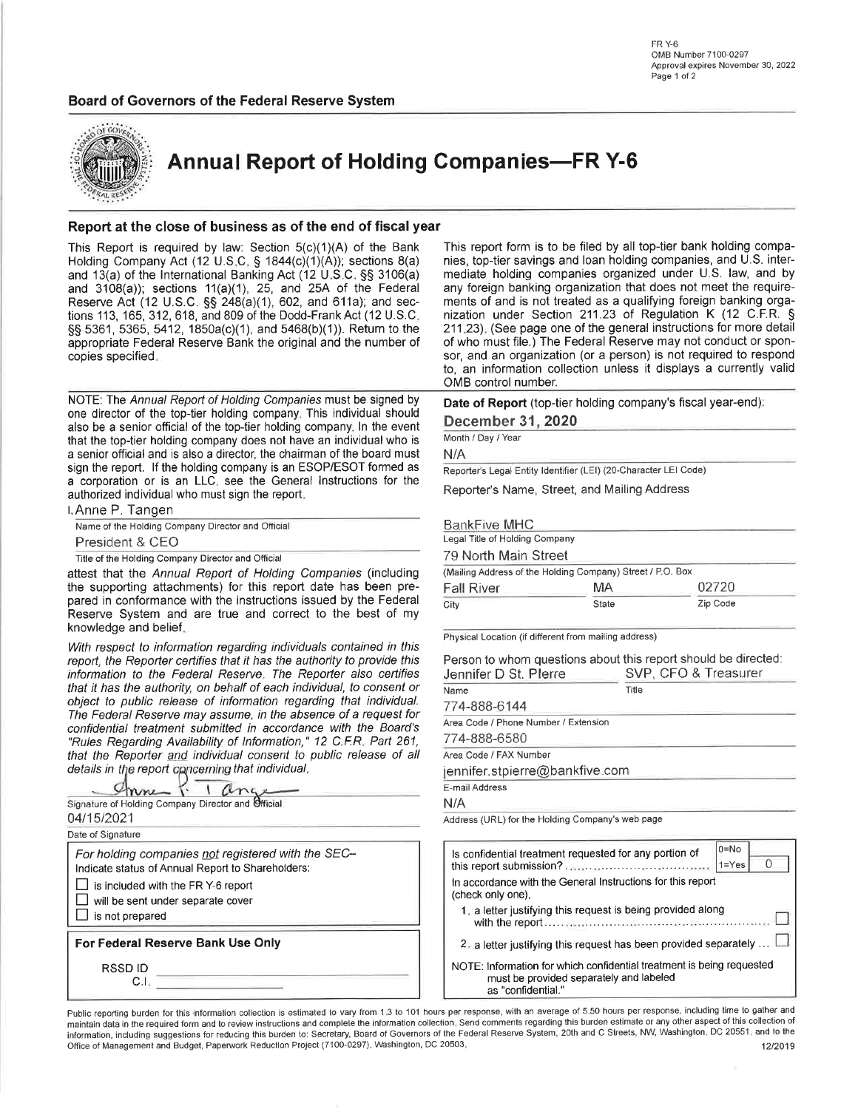#### Board of Governors of the Federal Reserve System



**Annual Report of Holding Companies-FR Y-6** 

#### Report at the close of business as of the end of fiscal year

This Report is required by law: Section  $5(c)(1)(A)$  of the Bank Holding Company Act (12 U.S.C. § 1844(c)(1)(A)); sections 8(a) and 13(a) of the International Banking Act (12 U.S.C. §§ 3106(a) and  $3108(a)$ ; sections  $11(a)(1)$ ,  $25$ , and  $25A$  of the Federal Reserve Act (12 U.S.C. §§ 248(a)(1), 602, and 611a); and sections 113, 165, 312, 618, and 809 of the Dodd-Frank Act (12 U.S.C. §§ 5361, 5365, 5412, 1850a(c)(1), and 5468(b)(1)). Return to the appropriate Federal Reserve Bank the original and the number of copies specified.

NOTE: The Annual Report of Holding Companies must be signed by one director of the top-tier holding company. This individual should also be a senior official of the top-tier holding company. In the event that the top-tier holding company does not have an individual who is a senior official and is also a director, the chairman of the board must sign the report. If the holding company is an ESOP/ESOT formed as a corporation or is an LLC, see the General Instructions for the authorized individual who must sign the report.

I. Anne P. Tangen Name of the Holding Company Director and Official President & CEO Title of the Holding Company Director and Official attest that the Annual Report of Holding Companies (including the supporting attachments) for this report date has been pre-

pared in conformance with the instructions issued by the Federal Reserve System and are true and correct to the best of my knowledge and belief.

With respect to information regarding individuals contained in this report, the Reporter certifies that it has the authority to provide this information to the Federal Reserve. The Reporter also certifies that it has the authority, on behalf of each individual, to consent or object to public release of information regarding that individual. The Federal Reserve may assume, in the absence of a request for confidential treatment submitted in accordance with the Board's "Rules Regarding Availability of Information," 12 C.F.R. Part 261, that the Reporter and individual consent to public release of all details in the report concerning that individual.

| Signature of Holding Company Director and Official                                                      |  |
|---------------------------------------------------------------------------------------------------------|--|
| 04/15/2021                                                                                              |  |
| Date of Signature                                                                                       |  |
| For holding companies not registered with the SEC-<br>Indicate status of Annual Report to Shareholders: |  |
| is included with the FR Y-6 report                                                                      |  |
| will be sent under separate cover                                                                       |  |
| is not prepared                                                                                         |  |
| For Federal Reserve Bank Use Only                                                                       |  |
| RSSD ID                                                                                                 |  |
|                                                                                                         |  |

This report form is to be filed by all top-tier bank holding companies, top-tier savings and loan holding companies, and U.S. intermediate holding companies organized under U.S. law, and by any foreign banking organization that does not meet the requirements of and is not treated as a qualifying foreign banking organization under Section 211.23 of Regulation K (12 C.F.R. § 211.23). (See page one of the general instructions for more detail of who must file.) The Federal Reserve may not conduct or sponsor, and an organization (or a person) is not required to respond to, an information collection unless it displays a currently valid OMB control number.

Date of Report (top-tier holding company's fiscal year-end):

December 31, 2020

Month / Day / Year

 $N/A$ 

Reporter's Legal Entity Identifier (LEI) (20-Character LEI Code)

Reporter's Name, Street, and Mailing Address

**BankFive MHC** 

| egal Title of Holding Company                             |       |          |  |  |  |  |  |  |
|-----------------------------------------------------------|-------|----------|--|--|--|--|--|--|
| 79 North Main Street                                      |       |          |  |  |  |  |  |  |
| Mailing Address of the Holding Company) Street / P.O. Box |       |          |  |  |  |  |  |  |
| 02720<br>МA<br>Fall River                                 |       |          |  |  |  |  |  |  |
| City                                                      | State | Zip Code |  |  |  |  |  |  |

Physical Location (if different from mailing address)

Person to whom questions about this report should be directed: Jennifer D St. Plerre SVP. CFO & Treasurer

| Name                                 | Title |  |  |  |  |
|--------------------------------------|-------|--|--|--|--|
| 774-888-6144                         |       |  |  |  |  |
| Area Code / Phone Number / Extension |       |  |  |  |  |
| 774-888-6580                         |       |  |  |  |  |
| Area Code / FAX Number               |       |  |  |  |  |
| jennifer.stpierre@bankfive.com       |       |  |  |  |  |
| E-mail Address                       |       |  |  |  |  |
| N/A                                  |       |  |  |  |  |

Address (URL) for the Holding Company's web page

| Is confidential treatment requested for any portion of                                                                                 | $0 = No$<br>$1 = Y$ es |  |  |  |  |  |  |
|----------------------------------------------------------------------------------------------------------------------------------------|------------------------|--|--|--|--|--|--|
| In accordance with the General Instructions for this report<br>(check only one).                                                       |                        |  |  |  |  |  |  |
| 1. a letter justifying this request is being provided along                                                                            |                        |  |  |  |  |  |  |
| 2. a letter justifying this request has been provided separately                                                                       |                        |  |  |  |  |  |  |
| NOTE: Information for which confidential treatment is being requested<br>must be provided separately and labeled<br>as "confidential." |                        |  |  |  |  |  |  |

Public reporting burden for this information collection is estimated to vary from 1.3 to 101 hours per response, with an average of 5.50 hours per response, including time to gather and maintain data in the required form and to review instructions and complete the information collection. Send comments regarding this burden estimate or any other aspect of this collection of information, including suggestions for reducing this burden to: Secretary, Board of Governors of the Federal Reserve System, 20th and C Streets, NW, Washington, DC 20551, and to the Office of Management and Budget, Paperwork Reduction Project (7100-0297), Washington, DC 20503. 12/2019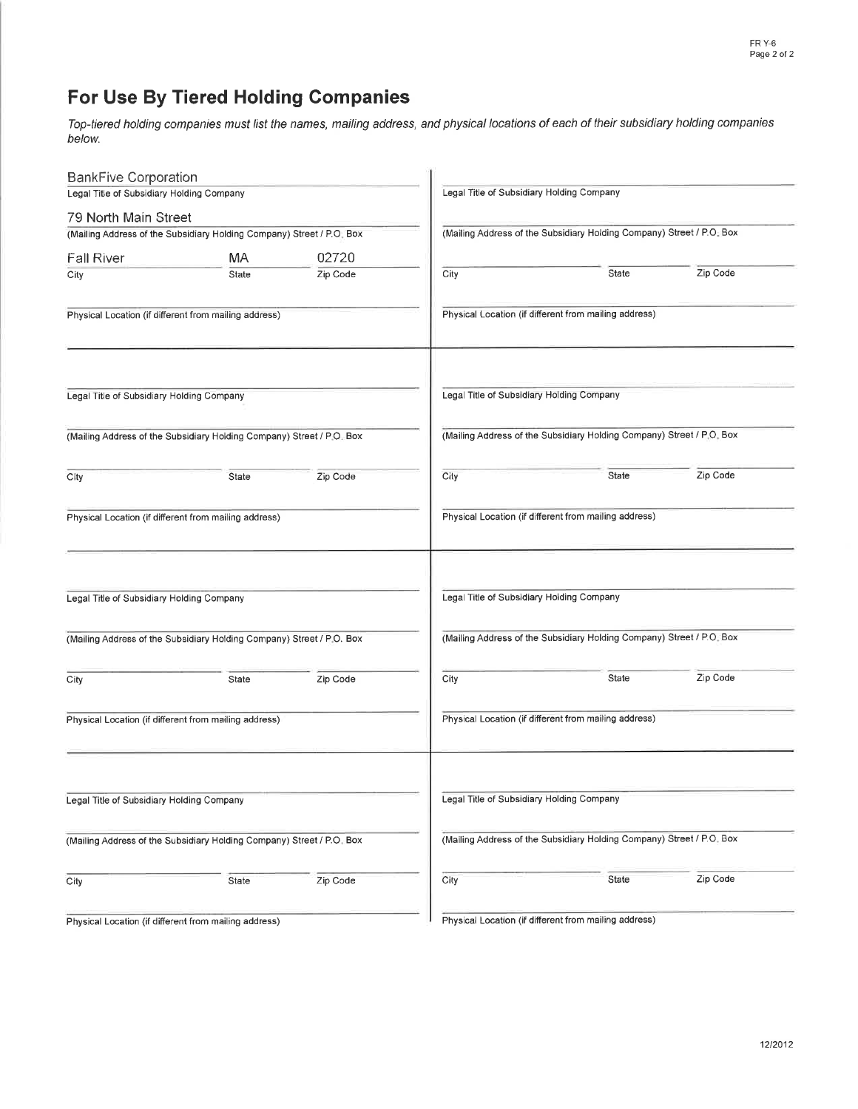# For Use By Tiered Holding Companies

Top-tiered holding companies must list the names, mailing address, and physical locations of each of their subsidiary holding companies below.

| <b>BankFive Corporation</b>                           |                                                                       |          |      |                                                                       |          |  |  |  |  |  |
|-------------------------------------------------------|-----------------------------------------------------------------------|----------|------|-----------------------------------------------------------------------|----------|--|--|--|--|--|
| Legal Title of Subsidiary Holding Company             |                                                                       |          |      | Legal Title of Subsidiary Holding Company                             |          |  |  |  |  |  |
| 79 North Main Street                                  |                                                                       |          |      |                                                                       |          |  |  |  |  |  |
|                                                       | (Mailing Address of the Subsidiary Holding Company) Street / P.O. Box |          |      | (Mailing Address of the Subsidiary Holding Company) Street / P.O. Box |          |  |  |  |  |  |
| <b>Fall River</b>                                     | MA                                                                    | 02720    |      |                                                                       |          |  |  |  |  |  |
| City                                                  | State                                                                 | Zip Code | City | State                                                                 | Zip Code |  |  |  |  |  |
|                                                       | Physical Location (if different from mailing address)                 |          |      | Physical Location (if different from mailing address)                 |          |  |  |  |  |  |
| Legal Title of Subsidiary Holding Company             |                                                                       |          |      | Legal Title of Subsidiary Holding Company                             |          |  |  |  |  |  |
|                                                       | (Mailing Address of the Subsidiary Holding Company) Street / P.O. Box |          |      | (Mailing Address of the Subsidiary Holding Company) Street / P.O. Box |          |  |  |  |  |  |
| City                                                  | State                                                                 | Zip Code | City | State                                                                 | Zip Code |  |  |  |  |  |
|                                                       | Physical Location (if different from mailing address)                 |          |      | Physical Location (if different from mailing address)                 |          |  |  |  |  |  |
| Legal Title of Subsidiary Holding Company             |                                                                       |          |      | Legal Title of Subsidiary Holding Company                             |          |  |  |  |  |  |
|                                                       | (Mailing Address of the Subsidiary Holding Company) Street / P.O. Box |          |      | (Mailing Address of the Subsidiary Holding Company) Street / P.O. Box |          |  |  |  |  |  |
| City                                                  | State                                                                 | Zip Code | City | State                                                                 | Zip Code |  |  |  |  |  |
| Physical Location (if different from mailing address) |                                                                       |          |      | Physical Location (if different from mailing address)                 |          |  |  |  |  |  |
| Legal Title of Subsidiary Holding Company             |                                                                       |          |      | Legal Title of Subsidiary Holding Company                             |          |  |  |  |  |  |
|                                                       | (Mailing Address of the Subsidiary Holding Company) Street / P.O. Box |          |      | (Mailing Address of the Subsidiary Holding Company) Street / P.O. Box |          |  |  |  |  |  |
| City                                                  | State                                                                 | Zip Code | City | State                                                                 | Zip Code |  |  |  |  |  |
| Physical Location (if different from mailing address) |                                                                       |          |      | Physical Location (if different from mailing address)                 |          |  |  |  |  |  |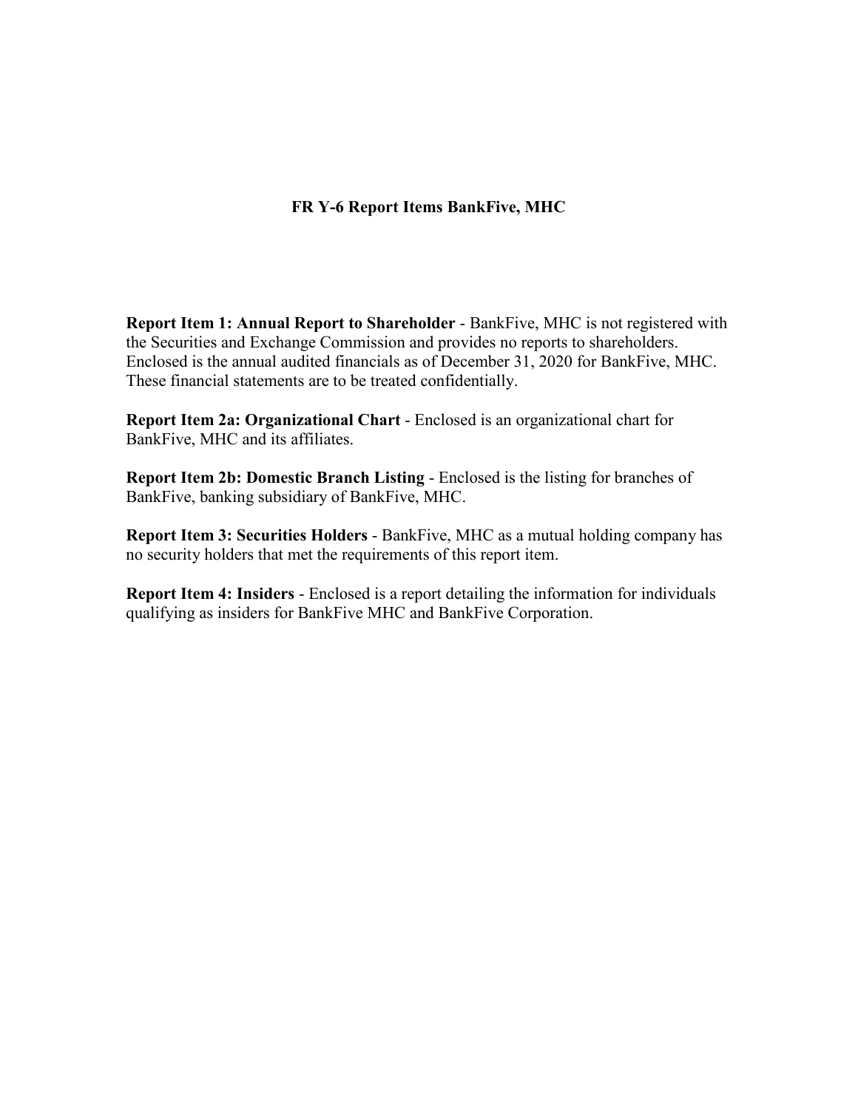### **FR Y-6 Report Items BankFive, MHC**

**Report Item 1: Annual Report to Shareholder** - BankFive, MHC is not registered with the Securities and Exchange Commission and provides no reports to shareholders. Enclosed is the annual audited financials as of December 31, 2020 for BankFive, MHC. These financial statements are to be treated confidentially.

**Report Item 2a: Organizational Chart** - Enclosed is an organizational chart for BankFive, MHC and its affiliates.

**Report Item 2b: Domestic Branch Listing** - Enclosed is the listing for branches of BankFive, banking subsidiary of BankFive, MHC.

**Report Item 3: Securities Holders** - BankFive, MHC as a mutual holding company has no security holders that met the requirements of this report item.

**Report Item 4: Insiders** - Enclosed is a report detailing the information for individuals qualifying as insiders for BankFive MHC and BankFive Corporation.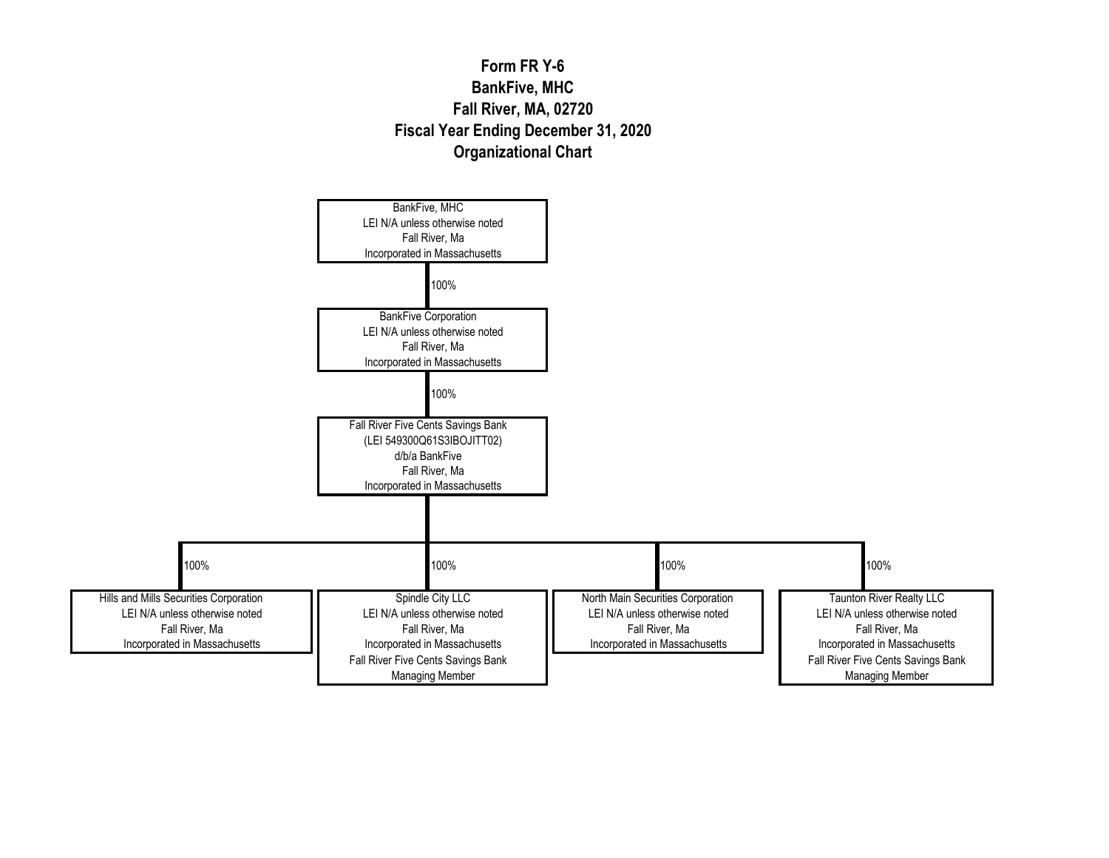## **Form FR Y-6 BankFive, MHC Fall River, MA, 02720 Fiscal Year Ending December 31, 2020 Organizational Chart**

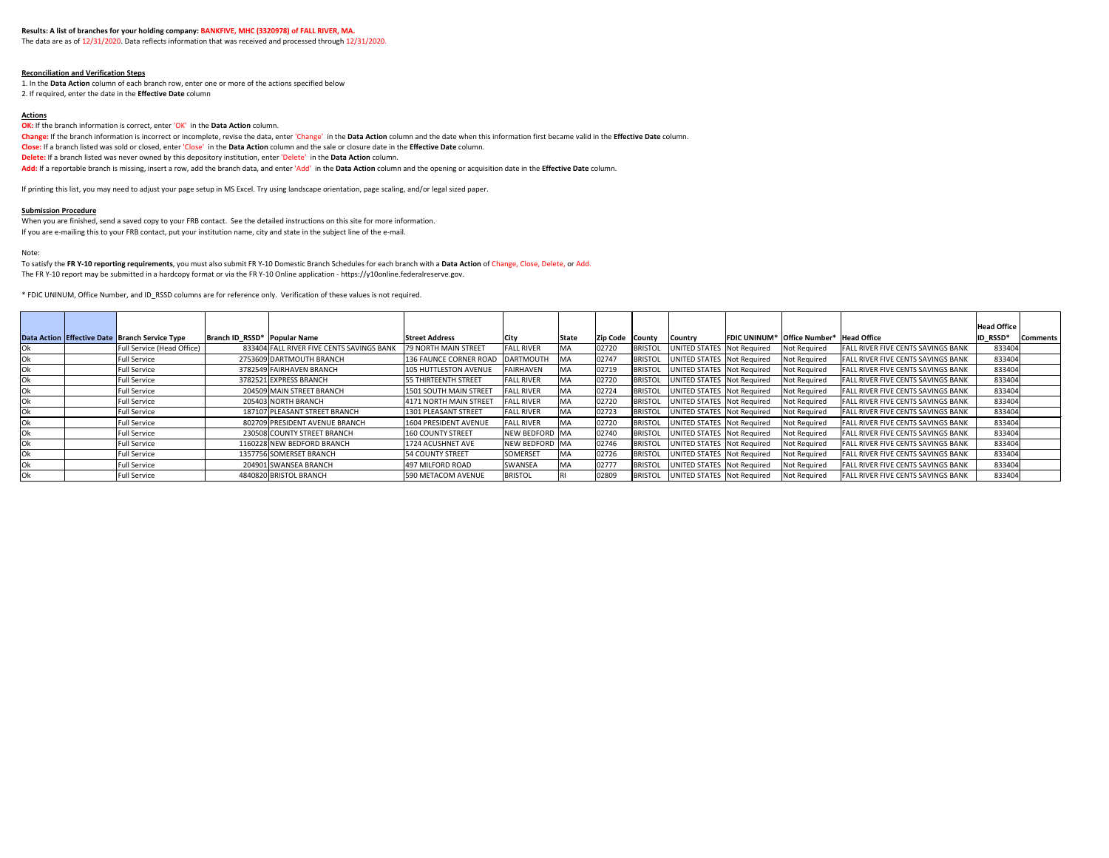The data are as of 12/31/2020. Data reflects information that was received and processed through 12/31/2020.

#### **Reconciliation and Verification Steps**

1. In the **Data Action** column of each branch row, enter one or more of the actions specified below

2. If required, enter the date in the **Effective Date** column

#### **Actions**

**OK:** If the branch information is correct, enter 'OK' in the Data Action column.

**Change:** If the branch information is incorrect or incomplete, revise the data, enter 'Change' in the **Data Action** column and the date when this information first became valid in the **Effective Date** column. **Close:** If a branch listed was sold or closed, enter 'Close' in the **Data Action** column and the sale or closure date in the **Effective Date** column. **Delete:** If a branch listed was never owned by this depository institution, enter 'Delete' in the **Data Action** column.

**Add:** If a reportable branch is missing, insert a row, add the branch data, and enter 'Add' in the **Data Action** column and the opening or acquisition date in the **Effective Date** column.

If printing this list, you may need to adjust your page setup in MS Excel. Try using landscape orientation, page scaling, and/or legal sized paper.

#### **Submission Procedure**

When you are finished, send a saved copy to your FRB contact. See the detailed instructions on this site for more information. If you are e-mailing this to your FRB contact, put your institution name, city and state in the subject line of the e-mail.

#### Note:

To satisfy the **FR Y-10 reporting requirements**, you must also submit FR Y-10 Domestic Branch Schedules for each branch with a **Data Action** of Change, Close, Delete, or Add. The FR Y-10 report may be submitted in a hardcopy format or via the FR Y-10 Online application - https://y10online.federalreserve.gov.

\* FDIC UNINUM, Office Number, and ID\_RSSD columns are for reference only. Verification of these values is not required.

|     |                                                |                               |                                           |                             |                   |           |                        |                |                              |                                                |                                           | <b>Head Office</b> |                 |
|-----|------------------------------------------------|-------------------------------|-------------------------------------------|-----------------------------|-------------------|-----------|------------------------|----------------|------------------------------|------------------------------------------------|-------------------------------------------|--------------------|-----------------|
|     | Data Action Effective Date Branch Service Type | Branch ID_RSSD*  Popular Name |                                           | <b>Street Address</b>       | <b>City</b>       | State     | <b>Zip Code County</b> |                | Country                      | <b>FDIC UNINUM* Office Number* Head Office</b> |                                           | ID_RSSD*           | <b>Comments</b> |
| Ok  | Full Service (Head Office)                     |                               | 833404 FALL RIVER FIVE CENTS SAVINGS BANK | 79 NORTH MAIN STREET        | <b>FALL RIVER</b> | <b>MA</b> | 02720                  | <b>BRISTOL</b> | UNITED STATES   Not Required | Not Required                                   | <b>FALL RIVER FIVE CENTS SAVINGS BANK</b> | 833404             |                 |
| Ok  | Full Service                                   |                               | 2753609 DARTMOUTH BRANCH                  | 136 FAUNCE CORNER ROAD      | DARTMOUTH         | MA        | 02747                  | <b>BRISTOL</b> | UNITED STATES   Not Required | Not Required                                   | <b>FALL RIVER FIVE CENTS SAVINGS BANK</b> | 833404             |                 |
| Ok  | Full Service                                   |                               | 3782549 FAIRHAVEN BRANCH                  | 105 HUTTLESTON AVENUE       | <b>FAIRHAVEN</b>  | MA        | 02719                  | <b>BRISTOL</b> | UNITED STATES Not Required   | Not Required                                   | <b>FALL RIVER FIVE CENTS SAVINGS BANK</b> | 833404             |                 |
| Ok  | Full Service                                   |                               | 3782521 EXPRESS BRANCH                    | <b>55 THIRTEENTH STREET</b> | <b>FALL RIVER</b> | MA        | 02720                  | <b>BRISTOL</b> | UNITED STATES   Not Required | Not Required                                   | <b>FALL RIVER FIVE CENTS SAVINGS BANK</b> | 833404             |                 |
| Ok  | ull Service <sup>:</sup>                       |                               | 204509 MAIN STREET BRANCH                 | 1501 SOUTH MAIN STREET      | <b>FALL RIVER</b> | MA        | 02724                  | <b>BRISTOL</b> | UNITED STATES   Not Required | Not Required                                   | <b>FALL RIVER FIVE CENTS SAVINGS BANK</b> | 833404             |                 |
| Ok  | <b>Full Service</b>                            |                               | 205403 NORTH BRANCH                       | 4171 NORTH MAIN STREET      | <b>FALL RIVER</b> | <b>MA</b> | 02720                  | <b>BRISTOL</b> | UNITED STATES   Not Required | Not Required                                   | <b>FALL RIVER FIVE CENTS SAVINGS BANK</b> | 833404             |                 |
| Ok  | Full Service                                   |                               | 187107 PLEASANT STREET BRANCH             | 1301 PLEASANT STREET        | <b>FALL RIVER</b> | MA        | 02723                  | <b>BRISTOL</b> | UNITED STATES Not Required   | Not Required                                   | <b>FALL RIVER FIVE CENTS SAVINGS BANK</b> | 833404             |                 |
| Ok  | Full Service                                   |                               | 802709 PRESIDENT AVENUE BRANCH            | 1604 PRESIDENT AVENUE       | <b>FALL RIVER</b> | MA        | 02720                  | <b>BRISTOL</b> | UNITED STATES Not Required   | Not Required                                   | <b>FALL RIVER FIVE CENTS SAVINGS BANK</b> | 833404             |                 |
| 0k. | Full Service                                   |                               | 230508 COUNTY STREET BRANCH               | 160 COUNTY STREET           | NEW BEDFORD MA    |           | 02740                  | <b>BRISTOL</b> | UNITED STATES Not Required   | Not Required                                   | <b>FALL RIVER FIVE CENTS SAVINGS BANK</b> | 833404             |                 |
| Ok  | ull Service <sup>:</sup>                       |                               | 1160228 NEW BEDFORD BRANCH                | 1724 ACUSHNET AVE           | NEW BEDFORD MA    |           | 02746                  | <b>BRISTOL</b> | UNITED STATES   Not Required | Not Required                                   | <b>FALL RIVER FIVE CENTS SAVINGS BANK</b> | 833404             |                 |
| Ok  | <b>Full Service</b>                            |                               | 1357756 SOMERSET BRANCH                   | <b>54 COUNTY STREET</b>     | SOMERSET          | <b>MA</b> | 02726                  | <b>BRISTOL</b> | UNITED STATES Not Required   | Not Required                                   | <b>FALL RIVER FIVE CENTS SAVINGS BANK</b> | 833404             |                 |
| Ok  | Full Service                                   |                               | 204901 SWANSEA BRANCH                     | 497 MILFORD ROAD            | SWANSEA           | MA        | 02777                  | <b>BRISTOL</b> | UNITED STATES   Not Required | Not Required                                   | <b>FALL RIVER FIVE CENTS SAVINGS BANK</b> | 833404             |                 |
| Ok  | <b>Full Service</b>                            |                               | 4840820 BRISTOL BRANCH                    | 590 METACOM AVENUE          | <b>BRISTOL</b>    |           | 02809                  | <b>BRISTOL</b> | UNITED STATES   Not Required | Not Required                                   | <b>FALL RIVER FIVE CENTS SAVINGS BANK</b> | 833404             |                 |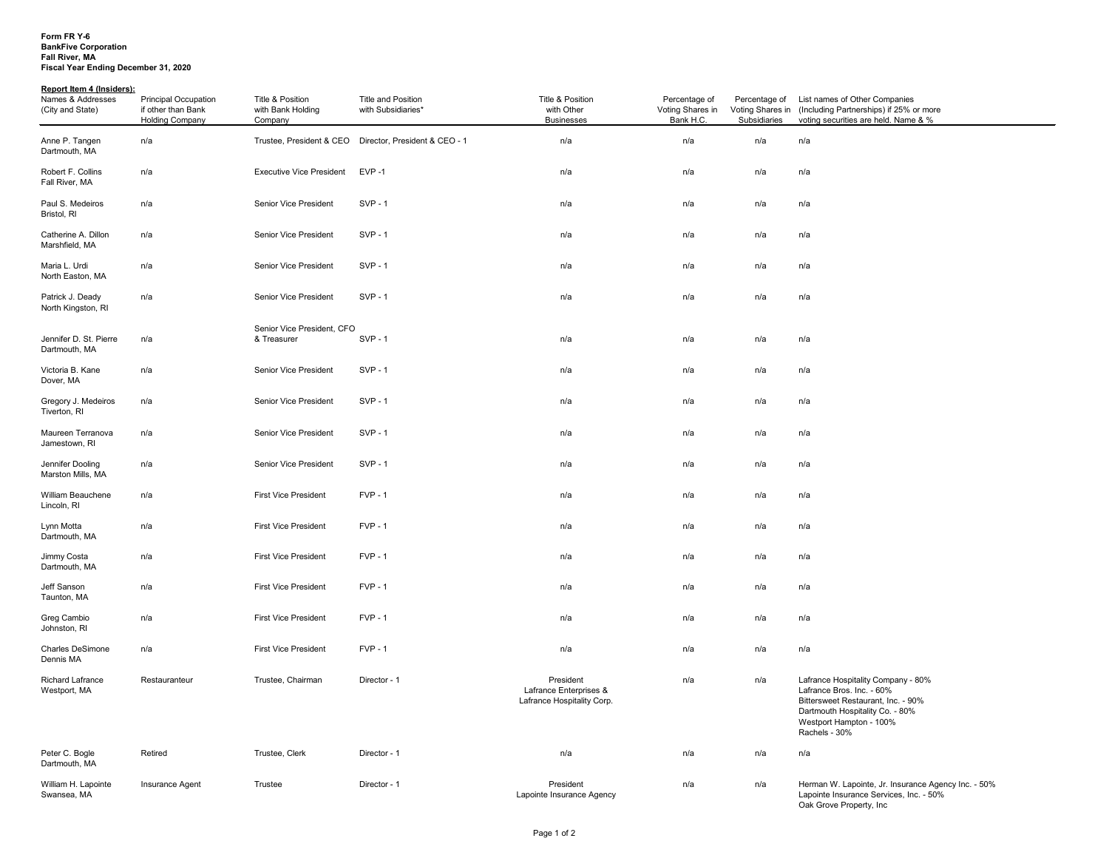#### **Form FR Y-6 BankFive Corporation Fall River, MA Fiscal Year Ending December 31, 2020**

### **Report Item 4 (Insiders):**

| Names & Addresses<br>(City and State)   | <b>Principal Occupation</b><br>if other than Bank<br>Holding Company | Title & Position<br>with Bank Holding<br>Company | <b>Title and Position</b><br>with Subsidiaries*        | Title & Position<br>with Other<br><b>Businesses</b>               | Percentage of<br>Voting Shares in<br>Bank H.C. | Percentage of<br>Voting Shares in<br>Subsidiaries | List names of Other Companies<br>(Including Partnerships) if 25% or more<br>voting securities are held. Name & %                                                                     |
|-----------------------------------------|----------------------------------------------------------------------|--------------------------------------------------|--------------------------------------------------------|-------------------------------------------------------------------|------------------------------------------------|---------------------------------------------------|--------------------------------------------------------------------------------------------------------------------------------------------------------------------------------------|
| Anne P. Tangen<br>Dartmouth, MA         | n/a                                                                  |                                                  | Trustee, President & CEO Director, President & CEO - 1 | n/a                                                               | n/a                                            | n/a                                               | n/a                                                                                                                                                                                  |
| Robert F. Collins<br>Fall River, MA     | n/a                                                                  | <b>Executive Vice President</b>                  | $EVP - 1$                                              | n/a                                                               | n/a<br>n/a                                     |                                                   | n/a                                                                                                                                                                                  |
| Paul S. Medeiros<br>Bristol, RI         | n/a                                                                  | Senior Vice President                            | $SVP - 1$                                              | n/a                                                               | n/a                                            | n/a                                               | n/a                                                                                                                                                                                  |
| Catherine A. Dillon<br>Marshfield, MA   | n/a                                                                  | Senior Vice President                            | $SVP - 1$                                              | n/a                                                               | n/a                                            | n/a                                               | n/a                                                                                                                                                                                  |
| Maria L. Urdi<br>North Easton, MA       | n/a                                                                  | <b>Senior Vice President</b>                     | $SVP - 1$                                              | n/a                                                               | n/a                                            | n/a                                               | n/a                                                                                                                                                                                  |
| Patrick J. Deady<br>North Kingston, RI  | n/a                                                                  | <b>Senior Vice President</b>                     | $SVP - 1$                                              | n/a                                                               | n/a                                            | n/a                                               | n/a                                                                                                                                                                                  |
| Jennifer D. St. Pierre<br>Dartmouth, MA | n/a                                                                  | Senior Vice President, CFO<br>& Treasurer        | <b>SVP - 1</b>                                         | n/a                                                               | n/a                                            | n/a                                               | n/a                                                                                                                                                                                  |
| Victoria B. Kane<br>Dover, MA           | n/a                                                                  | <b>Senior Vice President</b>                     | $SVP - 1$                                              | n/a                                                               | n/a                                            | n/a                                               | n/a                                                                                                                                                                                  |
| Gregory J. Medeiros<br>Tiverton, RI     | n/a                                                                  | Senior Vice President                            | <b>SVP - 1</b>                                         | n/a                                                               | n/a                                            | n/a                                               | n/a                                                                                                                                                                                  |
| Maureen Terranova<br>Jamestown, RI      | n/a                                                                  | Senior Vice President                            | $SVP - 1$                                              | n/a                                                               | n/a                                            | n/a                                               | n/a                                                                                                                                                                                  |
| Jennifer Dooling<br>Marston Mills, MA   | n/a                                                                  | <b>Senior Vice President</b>                     | $SVP - 1$                                              | n/a                                                               | n/a                                            | n/a                                               | n/a                                                                                                                                                                                  |
| William Beauchene<br>Lincoln, RI        | n/a                                                                  | <b>First Vice President</b>                      | $FVP - 1$                                              | n/a                                                               | n/a                                            | n/a                                               | n/a                                                                                                                                                                                  |
| Lynn Motta<br>Dartmouth, MA             | n/a                                                                  | <b>First Vice President</b>                      | $FVP - 1$                                              | n/a                                                               | n/a                                            | n/a                                               | n/a                                                                                                                                                                                  |
| Jimmy Costa<br>Dartmouth, MA            | n/a                                                                  | <b>First Vice President</b>                      | $FVP - 1$                                              | n/a                                                               | n/a                                            | n/a                                               | n/a                                                                                                                                                                                  |
| Jeff Sanson<br>Taunton, MA              | n/a                                                                  | <b>First Vice President</b>                      | $FVP - 1$                                              | n/a                                                               | n/a                                            | n/a                                               | n/a                                                                                                                                                                                  |
| Greg Cambio<br>Johnston, RI             | n/a                                                                  | <b>First Vice President</b>                      | $FVP - 1$                                              | n/a                                                               | n/a                                            | n/a                                               | n/a                                                                                                                                                                                  |
| <b>Charles DeSimone</b><br>Dennis MA    | n/a                                                                  | <b>First Vice President</b>                      | $FVP - 1$                                              | n/a                                                               | n/a                                            | n/a                                               | n/a                                                                                                                                                                                  |
| <b>Richard Lafrance</b><br>Westport, MA | Restauranteur                                                        | Trustee, Chairman                                | Director - 1                                           | President<br>Lafrance Enterprises &<br>Lafrance Hospitality Corp. | n/a                                            | n/a                                               | Lafrance Hospitality Company - 80%<br>Lafrance Bros. Inc. - 60%<br>Bittersweet Restaurant, Inc. - 90%<br>Dartmouth Hospitality Co. - 80%<br>Westport Hampton - 100%<br>Rachels - 30% |
| Peter C. Bogle<br>Dartmouth, MA         | Retired                                                              | Trustee, Clerk                                   | Director - 1                                           | n/a                                                               | n/a                                            | n/a                                               | n/a                                                                                                                                                                                  |
| William H. Lapointe<br>Swansea, MA      | Insurance Agent                                                      | Trustee                                          | Director - 1                                           | President<br>Lapointe Insurance Agency                            | n/a                                            | n/a                                               | Herman W. Lapointe, Jr. Insurance Agency Inc. - 50%<br>Lapointe Insurance Services, Inc. - 50%<br>Oak Grove Property, Inc                                                            |